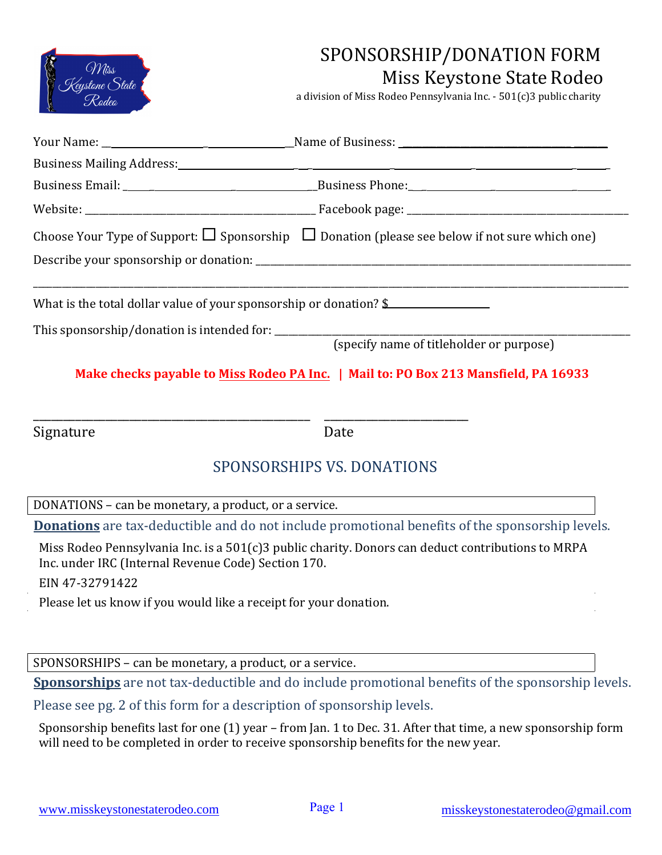

## SPONSORSHIP/DONATION FORM Miss Keystone State Rodeo

a division of Miss Rodeo Pennsylvania Inc. - 501(c)3 public charity

|           | Business Mailing Address: 1988 and 2008 and 2008 and 2008 and 2008 and 2008 and 2008 and 2008 and 2008 and 200 |
|-----------|----------------------------------------------------------------------------------------------------------------|
|           |                                                                                                                |
|           |                                                                                                                |
|           | Choose Your Type of Support: $\Box$ Sponsorship $\Box$ Donation (please see below if not sure which one)       |
|           |                                                                                                                |
|           |                                                                                                                |
|           | (specify name of titleholder or purpose)                                                                       |
|           | Make checks payable to Miss Rodeo PA Inc.   Mail to: PO Box 213 Mansfield, PA 16933                            |
| Signature | Date                                                                                                           |

## SPONSORSHIPS VS. DONATIONS

DONATIONS – can be monetary, a product, or a service.

**Donations** are tax-deductible and do not include promotional benefits of the sponsorship levels.

Miss Rodeo Pennsylvania Inc. is a 501(c)3 public charity. Donors can deduct contributions to MRPA Inc. under IRC (Internal Revenue Code) Section 170. EIN 47-32791422

Please let us know if you would like a receipt for your donation.

SPONSORSHIPS – can be monetary, a product, or a service.

**Sponsorships** are not tax-deductible and do include promotional benefits of the sponsorship levels.

Please see pg. 2 of this form for a description of sponsorship levels.

Sponsorship benefits last for one (1) year – from Jan. 1 to Dec. 31. After that time, a new sponsorship form will need to be completed in order to receive sponsorship benefits for the new year.